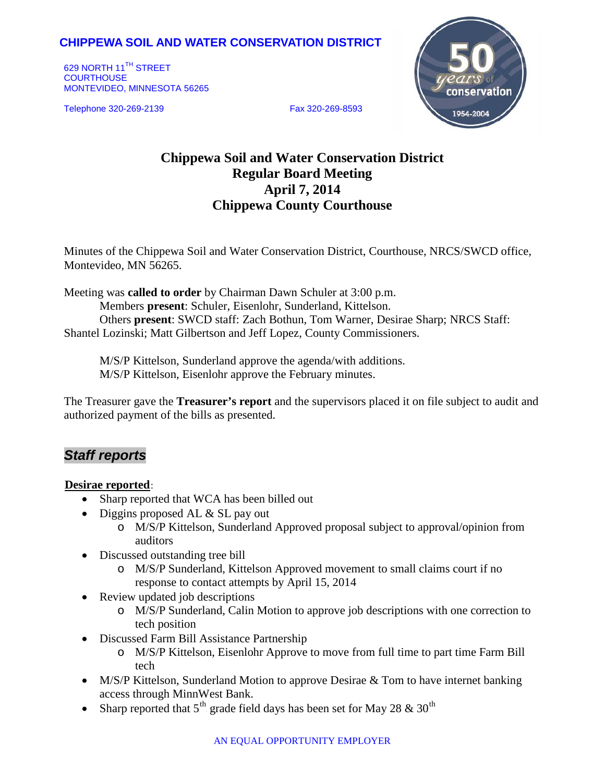# **CHIPPEWA SOIL AND WATER CONSERVATION DISTRICT**

629 NORTH 11<sup>TH</sup> STREET **COURTHOUSE** MONTEVIDEO, MINNESOTA 56265

Telephone 320-269-2139 Fax 320-269-8593



# **Chippewa Soil and Water Conservation District Regular Board Meeting April 7, 2014 Chippewa County Courthouse**

Minutes of the Chippewa Soil and Water Conservation District, Courthouse, NRCS/SWCD office, Montevideo, MN 56265.

Meeting was **called to order** by Chairman Dawn Schuler at 3:00 p.m. Members **present**: Schuler, Eisenlohr, Sunderland, Kittelson. Others **present**: SWCD staff: Zach Bothun, Tom Warner, Desirae Sharp; NRCS Staff: Shantel Lozinski; Matt Gilbertson and Jeff Lopez, County Commissioners.

M/S/P Kittelson, Sunderland approve the agenda/with additions. M/S/P Kittelson, Eisenlohr approve the February minutes.

The Treasurer gave the **Treasurer's report** and the supervisors placed it on file subject to audit and authorized payment of the bills as presented.

# *Staff reports*

### **Desirae reported**:

- Sharp reported that WCA has been billed out
- Diggins proposed AL & SL pay out
	- o M/S/P Kittelson, Sunderland Approved proposal subject to approval/opinion from auditors
- Discussed outstanding tree bill
	- o M/S/P Sunderland, Kittelson Approved movement to small claims court if no response to contact attempts by April 15, 2014
- Review updated job descriptions
	- o M/S/P Sunderland, Calin Motion to approve job descriptions with one correction to tech position
- Discussed Farm Bill Assistance Partnership
	- o M/S/P Kittelson, Eisenlohr Approve to move from full time to part time Farm Bill tech
- M/S/P Kittelson, Sunderland Motion to approve Desirae & Tom to have internet banking access through MinnWest Bank.
- Sharp reported that  $5<sup>th</sup>$  grade field days has been set for May 28 & 30<sup>th</sup>